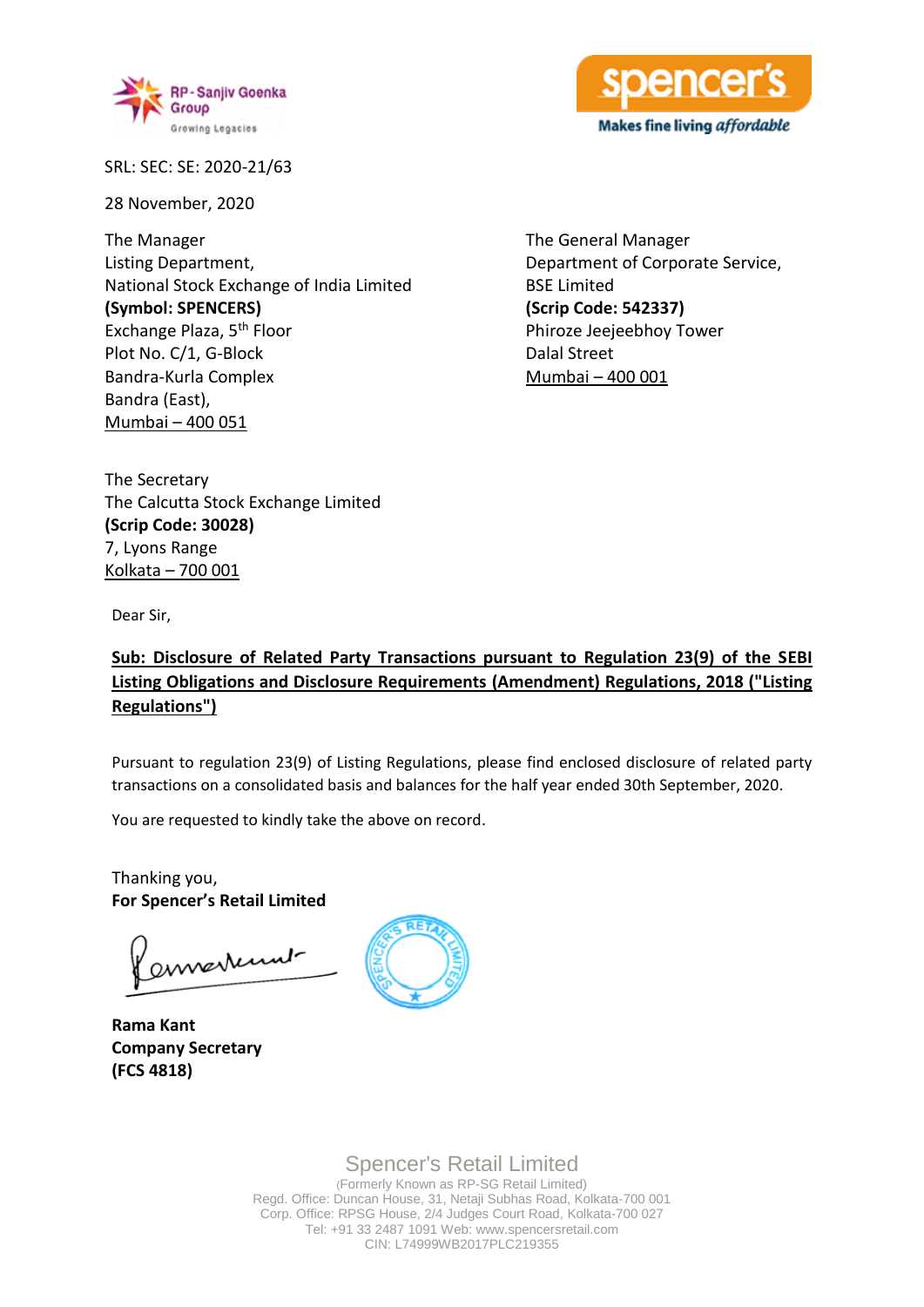



SRL: SEC: SE: 2020-21/63

28 November, 2020

The Manager Listing Department, National Stock Exchange of India Limited **(Symbol: SPENCERS)** Exchange Plaza, 5th Floor Plot No. C/1, G-Block Bandra-Kurla Complex Bandra (East), Mumbai – 400 051

The General Manager Department of Corporate Service, BSE Limited **(Scrip Code: 542337)** Phiroze Jeejeebhoy Tower Dalal Street Mumbai – 400 001

The Secretary The Calcutta Stock Exchange Limited **(Scrip Code: 30028)** 7, Lyons Range Kolkata – 700 001

Dear Sir,

# **Sub: Disclosure of Related Party Transactions pursuant to Regulation 23(9) of the SEBI Listing Obligations and Disclosure Requirements (Amendment) Regulations, 2018 ("Listing Regulations")**

Pursuant to regulation 23(9) of Listing Regulations, please find enclosed disclosure of related party transactions on a consolidated basis and balances for the half year ended 30th September, 2020.

You are requested to kindly take the above on record.

Thanking you, **For Spencer's Retail Limited**

envertunt

**Rama Kant Company Secretary (FCS 4818)**



Spencer's Retail Limited (Formerly Known as RP-SG Retail Limited)

Regd. Office: Duncan House, 31, Netaji Subhas Road, Kolkata-700 001 Corp. Office: RPSG House, 2/4 Judges Court Road, Kolkata-700 027 Tel: +91 33 2487 1091 Web: www.spencersretail.com CIN: L74999WB2017PLC219355